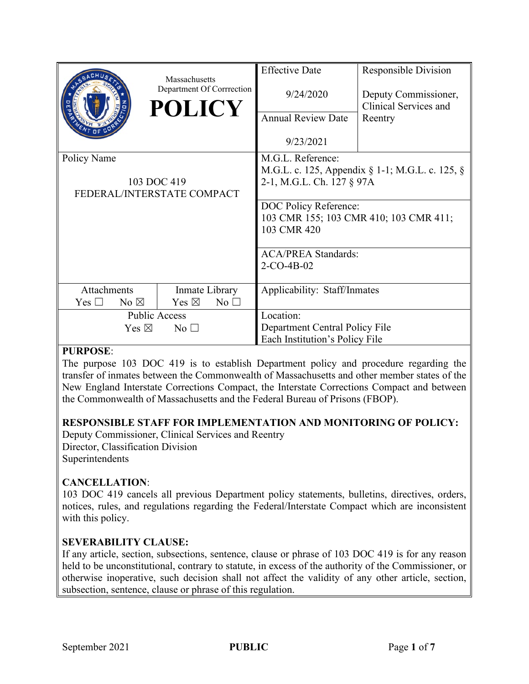|                                   | Massachusetts<br>Department Of Corrrection<br><b>POLICY</b> | <b>Effective Date</b><br>9/24/2020<br><b>Annual Review Date</b><br>9/23/2021   | <b>Responsible Division</b><br>Deputy Commissioner,<br>Clinical Services and<br>Reentry |
|-----------------------------------|-------------------------------------------------------------|--------------------------------------------------------------------------------|-----------------------------------------------------------------------------------------|
|                                   |                                                             |                                                                                |                                                                                         |
| Policy Name                       |                                                             | M.G.L. Reference:                                                              |                                                                                         |
|                                   |                                                             | M.G.L. c. 125, Appendix § 1-1; M.G.L. c. 125, §                                |                                                                                         |
| 103 DOC 419                       |                                                             | 2-1, M.G.L. Ch. 127 § 97A                                                      |                                                                                         |
| FEDERAL/INTERSTATE COMPACT        |                                                             |                                                                                |                                                                                         |
|                                   |                                                             | DOC Policy Reference:<br>103 CMR 155; 103 CMR 410; 103 CMR 411;<br>103 CMR 420 |                                                                                         |
|                                   |                                                             | <b>ACA/PREA Standards:</b>                                                     |                                                                                         |
|                                   |                                                             | $2-CO-4B-02$                                                                   |                                                                                         |
| Attachments                       | Inmate Library                                              | Applicability: Staff/Inmates                                                   |                                                                                         |
| No $\boxtimes$<br>Yes $\Box$      | Yes $\boxtimes$<br>$No$ $\square$                           |                                                                                |                                                                                         |
| <b>Public Access</b>              |                                                             | Location:                                                                      |                                                                                         |
| Yes $\boxtimes$<br>$No$ $\square$ |                                                             | Department Central Policy File                                                 |                                                                                         |
|                                   |                                                             | Each Institution's Policy File                                                 |                                                                                         |

## **PURPOSE**:

The purpose 103 DOC 419 is to establish Department policy and procedure regarding the transfer of inmates between the Commonwealth of Massachusetts and other member states of the New England Interstate Corrections Compact, the Interstate Corrections Compact and between the Commonwealth of Massachusetts and the Federal Bureau of Prisons (FBOP).

## **RESPONSIBLE STAFF FOR IMPLEMENTATION AND MONITORING OF POLICY:**

Deputy Commissioner, Clinical Services and Reentry Director, Classification Division **Superintendents** 

# **CANCELLATION**:

103 DOC 419 cancels all previous Department policy statements, bulletins, directives, orders, notices, rules, and regulations regarding the Federal/Interstate Compact which are inconsistent with this policy.

## **SEVERABILITY CLAUSE:**

If any article, section, subsections, sentence, clause or phrase of 103 DOC 419 is for any reason held to be unconstitutional, contrary to statute, in excess of the authority of the Commissioner, or otherwise inoperative, such decision shall not affect the validity of any other article, section, subsection, sentence, clause or phrase of this regulation.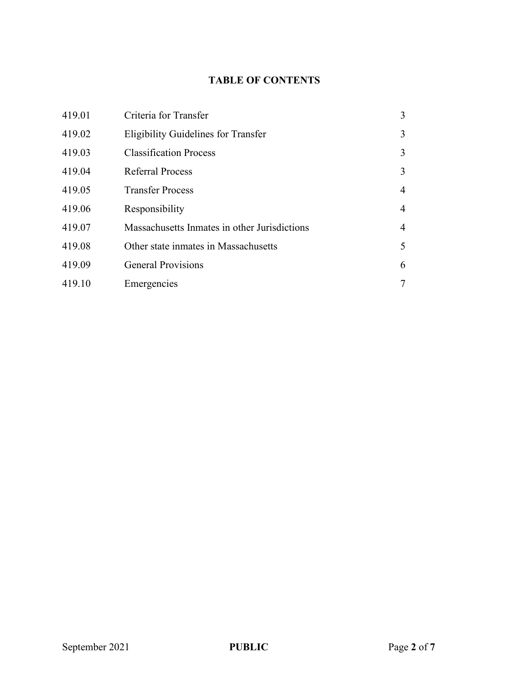# **TABLE OF CONTENTS**

| 419.01 | Criteria for Transfer                        | 3              |
|--------|----------------------------------------------|----------------|
| 419.02 | <b>Eligibility Guidelines for Transfer</b>   | 3              |
| 419.03 | <b>Classification Process</b>                | 3              |
| 419.04 | <b>Referral Process</b>                      | 3              |
| 419.05 | <b>Transfer Process</b>                      | $\overline{4}$ |
| 419.06 | Responsibility                               | 4              |
| 419.07 | Massachusetts Inmates in other Jurisdictions | 4              |
| 419.08 | Other state inmates in Massachusetts         | 5              |
| 419.09 | <b>General Provisions</b>                    | 6              |
| 419.10 | Emergencies                                  | 7              |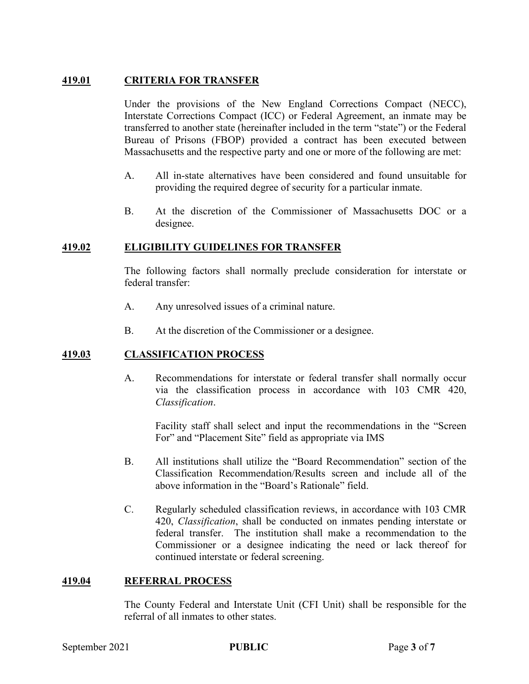### **419.01 CRITERIA FOR TRANSFER**

Under the provisions of the New England Corrections Compact (NECC), Interstate Corrections Compact (ICC) or Federal Agreement, an inmate may be transferred to another state (hereinafter included in the term "state") or the Federal Bureau of Prisons (FBOP) provided a contract has been executed between Massachusetts and the respective party and one or more of the following are met:

- A. All in-state alternatives have been considered and found unsuitable for providing the required degree of security for a particular inmate.
- B. At the discretion of the Commissioner of Massachusetts DOC or a designee.

#### **419.02 ELIGIBILITY GUIDELINES FOR TRANSFER**

The following factors shall normally preclude consideration for interstate or federal transfer:

- A. Any unresolved issues of a criminal nature.
- B. At the discretion of the Commissioner or a designee.

#### **419.03 CLASSIFICATION PROCESS**

A. Recommendations for interstate or federal transfer shall normally occur via the classification process in accordance with 103 CMR 420, *Classification*.

Facility staff shall select and input the recommendations in the "Screen For" and "Placement Site" field as appropriate via IMS

- B. All institutions shall utilize the "Board Recommendation" section of the Classification Recommendation/Results screen and include all of the above information in the "Board's Rationale" field.
- C. Regularly scheduled classification reviews, in accordance with 103 CMR 420, *Classification*, shall be conducted on inmates pending interstate or federal transfer. The institution shall make a recommendation to the Commissioner or a designee indicating the need or lack thereof for continued interstate or federal screening.

#### **419.04 REFERRAL PROCESS**

The County Federal and Interstate Unit (CFI Unit) shall be responsible for the referral of all inmates to other states.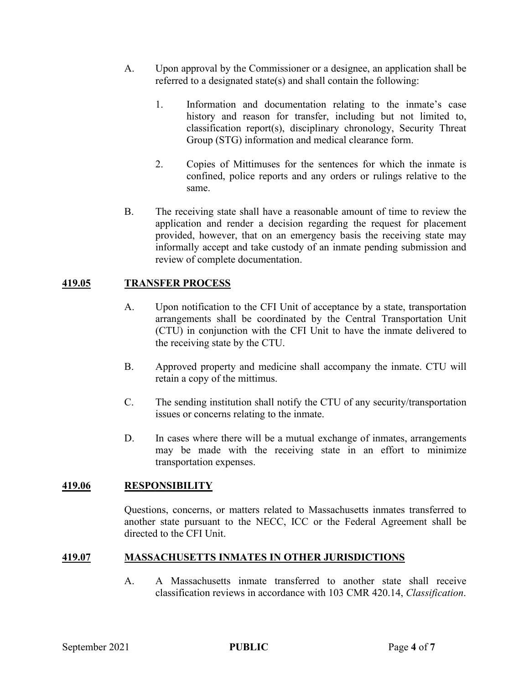- A. Upon approval by the Commissioner or a designee, an application shall be referred to a designated state(s) and shall contain the following:
	- 1. Information and documentation relating to the inmate's case history and reason for transfer, including but not limited to, classification report(s), disciplinary chronology, Security Threat Group (STG) information and medical clearance form.
	- 2. Copies of Mittimuses for the sentences for which the inmate is confined, police reports and any orders or rulings relative to the same.
- B. The receiving state shall have a reasonable amount of time to review the application and render a decision regarding the request for placement provided, however, that on an emergency basis the receiving state may informally accept and take custody of an inmate pending submission and review of complete documentation.

#### **419.05 TRANSFER PROCESS**

- A. Upon notification to the CFI Unit of acceptance by a state, transportation arrangements shall be coordinated by the Central Transportation Unit (CTU) in conjunction with the CFI Unit to have the inmate delivered to the receiving state by the CTU.
- B. Approved property and medicine shall accompany the inmate. CTU will retain a copy of the mittimus.
- C. The sending institution shall notify the CTU of any security/transportation issues or concerns relating to the inmate.
- D. In cases where there will be a mutual exchange of inmates, arrangements may be made with the receiving state in an effort to minimize transportation expenses.

#### **419.06 RESPONSIBILITY**

Questions, concerns, or matters related to Massachusetts inmates transferred to another state pursuant to the NECC, ICC or the Federal Agreement shall be directed to the CFI Unit.

#### **419.07 MASSACHUSETTS INMATES IN OTHER JURISDICTIONS**

A. A Massachusetts inmate transferred to another state shall receive classification reviews in accordance with 103 CMR 420.14, *Classification*.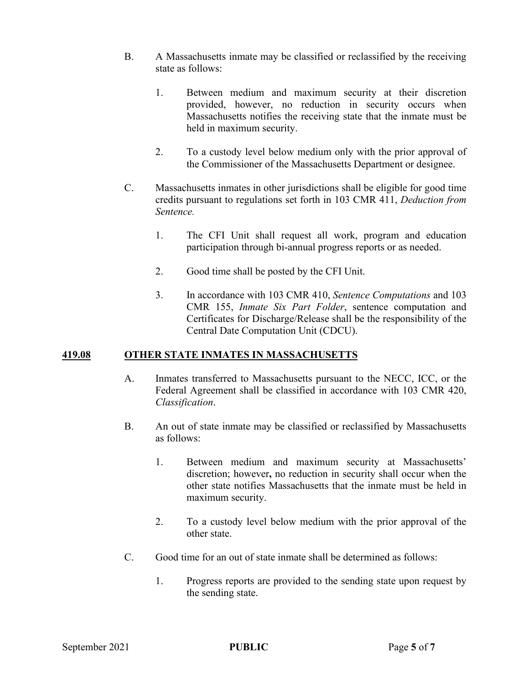- B. A Massachusetts inmate may be classified or reclassified by the receiving state as follows:
	- 1. Between medium and maximum security at their discretion provided, however, no reduction in security occurs when Massachusetts notifies the receiving state that the inmate must be held in maximum security.
	- 2. To a custody level below medium only with the prior approval of the Commissioner of the Massachusetts Department or designee.
- C. Massachusetts inmates in other jurisdictions shall be eligible for good time credits pursuant to regulations set forth in 103 CMR 411, *Deduction from Sentence.*
	- 1. The CFI Unit shall request all work, program and education participation through bi-annual progress reports or as needed.
	- 2. Good time shall be posted by the CFI Unit.
	- 3. In accordance with 103 CMR 410, *Sentence Computations* and 103 CMR 155, *Inmate Six Part Folder*, sentence computation and Certificates for Discharge/Release shall be the responsibility of the Central Date Computation Unit (CDCU).

#### **419.08 OTHER STATE INMATES IN MASSACHUSETTS**

- A. Inmates transferred to Massachusetts pursuant to the NECC, ICC, or the Federal Agreement shall be classified in accordance with 103 CMR 420, *Classification*.
- B. An out of state inmate may be classified or reclassified by Massachusetts as follows:
	- 1. Between medium and maximum security at Massachusetts' discretion; however**,** no reduction in security shall occur when the other state notifies Massachusetts that the inmate must be held in maximum security.
	- 2. To a custody level below medium with the prior approval of the other state.
- C. Good time for an out of state inmate shall be determined as follows:
	- 1. Progress reports are provided to the sending state upon request by the sending state.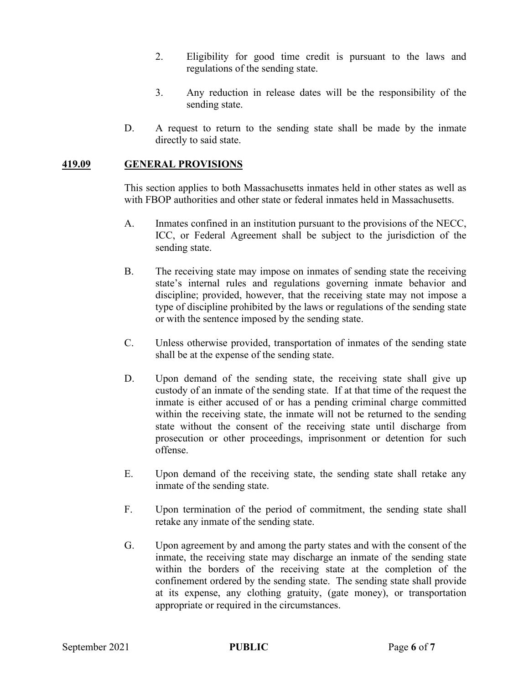- 2. Eligibility for good time credit is pursuant to the laws and regulations of the sending state.
- 3. Any reduction in release dates will be the responsibility of the sending state.
- D. A request to return to the sending state shall be made by the inmate directly to said state.

#### **419.09 GENERAL PROVISIONS**

This section applies to both Massachusetts inmates held in other states as well as with FBOP authorities and other state or federal inmates held in Massachusetts.

- A. Inmates confined in an institution pursuant to the provisions of the NECC, ICC, or Federal Agreement shall be subject to the jurisdiction of the sending state.
- B. The receiving state may impose on inmates of sending state the receiving state's internal rules and regulations governing inmate behavior and discipline; provided, however, that the receiving state may not impose a type of discipline prohibited by the laws or regulations of the sending state or with the sentence imposed by the sending state.
- C. Unless otherwise provided, transportation of inmates of the sending state shall be at the expense of the sending state.
- D. Upon demand of the sending state, the receiving state shall give up custody of an inmate of the sending state. If at that time of the request the inmate is either accused of or has a pending criminal charge committed within the receiving state, the inmate will not be returned to the sending state without the consent of the receiving state until discharge from prosecution or other proceedings, imprisonment or detention for such offense.
- E. Upon demand of the receiving state, the sending state shall retake any inmate of the sending state.
- F. Upon termination of the period of commitment, the sending state shall retake any inmate of the sending state.
- G. Upon agreement by and among the party states and with the consent of the inmate, the receiving state may discharge an inmate of the sending state within the borders of the receiving state at the completion of the confinement ordered by the sending state. The sending state shall provide at its expense, any clothing gratuity, (gate money), or transportation appropriate or required in the circumstances.